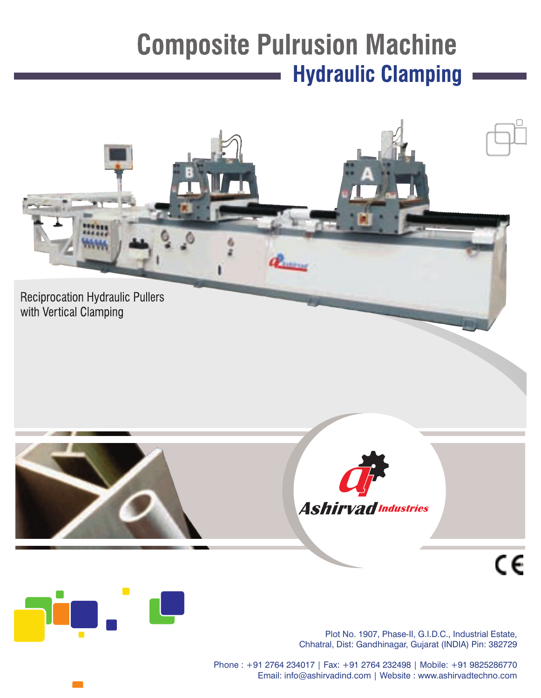## **Composite Pulrusion Machine Hydraulic Clamping**





Plot No. 1907, Phase-II, G.I.D.C., Industrial Estate, Chhatral, Dist: Gandhinagar, Gujarat (INDIA) Pin: 382729

Phone: +91 2764 234017 | Fax: +91 2764 232498 | Mobile: +91 9825286770 Email: info@ashirvadind.com | Website : www.ashirvadtechno.com